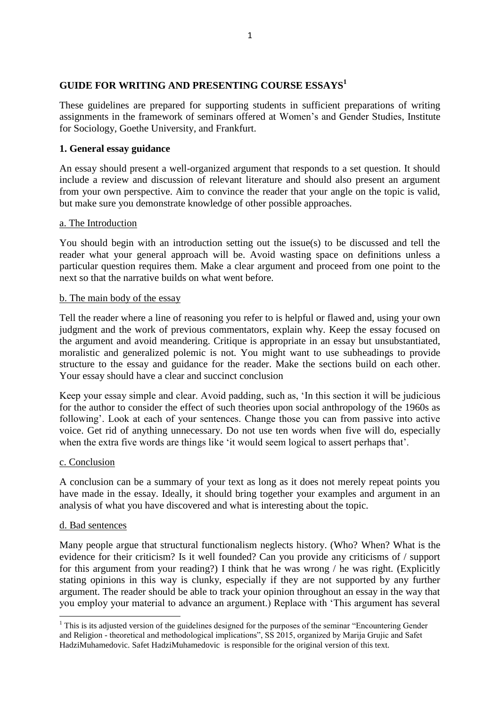# **GUIDE FOR WRITING AND PRESENTING COURSE ESSAYS<sup>1</sup>**

These guidelines are prepared for supporting students in sufficient preparations of writing assignments in the framework of seminars offered at Women's and Gender Studies, Institute for Sociology, Goethe University, and Frankfurt.

### **1. General essay guidance**

An essay should present a well-organized argument that responds to a set question. It should include a review and discussion of relevant literature and should also present an argument from your own perspective. Aim to convince the reader that your angle on the topic is valid, but make sure you demonstrate knowledge of other possible approaches.

### a. The Introduction

You should begin with an introduction setting out the issue(s) to be discussed and tell the reader what your general approach will be. Avoid wasting space on definitions unless a particular question requires them. Make a clear argument and proceed from one point to the next so that the narrative builds on what went before.

### b. The main body of the essay

Tell the reader where a line of reasoning you refer to is helpful or flawed and, using your own judgment and the work of previous commentators, explain why. Keep the essay focused on the argument and avoid meandering. Critique is appropriate in an essay but unsubstantiated, moralistic and generalized polemic is not. You might want to use subheadings to provide structure to the essay and guidance for the reader. Make the sections build on each other. Your essay should have a clear and succinct conclusion

Keep your essay simple and clear. Avoid padding, such as, 'In this section it will be judicious for the author to consider the effect of such theories upon social anthropology of the 1960s as following'. Look at each of your sentences. Change those you can from passive into active voice. Get rid of anything unnecessary. Do not use ten words when five will do, especially when the extra five words are things like 'it would seem logical to assert perhaps that'.

### c. Conclusion

A conclusion can be a summary of your text as long as it does not merely repeat points you have made in the essay. Ideally, it should bring together your examples and argument in an analysis of what you have discovered and what is interesting about the topic.

### d. Bad sentences

Many people argue that structural functionalism neglects history. (Who? When? What is the evidence for their criticism? Is it well founded? Can you provide any criticisms of / support for this argument from your reading?) I think that he was wrong / he was right. (Explicitly stating opinions in this way is clunky, especially if they are not supported by any further argument. The reader should be able to track your opinion throughout an essay in the way that you employ your material to advance an argument.) Replace with 'This argument has several

 $\overline{a}$ <sup>1</sup> This is its adjusted version of the guidelines designed for the purposes of the seminar "Encountering Gender" and Religion - theoretical and methodological implications", SS 2015, organized by Marija Grujic and Safet HadziMuhamedovic. Safet HadziMuhamedovic is responsible for the original version of this text.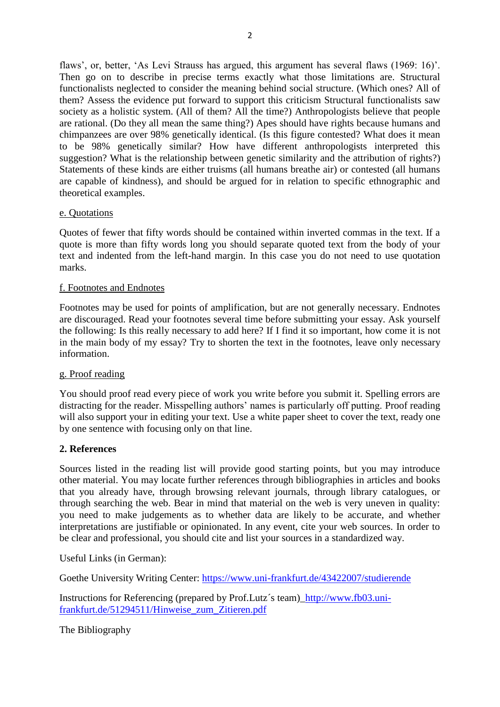flaws', or, better, 'As Levi Strauss has argued, this argument has several flaws (1969: 16)'. Then go on to describe in precise terms exactly what those limitations are. Structural functionalists neglected to consider the meaning behind social structure. (Which ones? All of them? Assess the evidence put forward to support this criticism Structural functionalists saw society as a holistic system. (All of them? All the time?) Anthropologists believe that people are rational. (Do they all mean the same thing?) Apes should have rights because humans and chimpanzees are over 98% genetically identical. (Is this figure contested? What does it mean to be 98% genetically similar? How have different anthropologists interpreted this suggestion? What is the relationship between genetic similarity and the attribution of rights?) Statements of these kinds are either truisms (all humans breathe air) or contested (all humans are capable of kindness), and should be argued for in relation to specific ethnographic and theoretical examples.

### e. Quotations

Quotes of fewer that fifty words should be contained within inverted commas in the text. If a quote is more than fifty words long you should separate quoted text from the body of your text and indented from the left-hand margin. In this case you do not need to use quotation marks.

### f. Footnotes and Endnotes

Footnotes may be used for points of amplification, but are not generally necessary. Endnotes are discouraged. Read your footnotes several time before submitting your essay. Ask yourself the following: Is this really necessary to add here? If I find it so important, how come it is not in the main body of my essay? Try to shorten the text in the footnotes, leave only necessary information.

### g. Proof reading

You should proof read every piece of work you write before you submit it. Spelling errors are distracting for the reader. Misspelling authors' names is particularly off putting. Proof reading will also support your in editing your text. Use a white paper sheet to cover the text, ready one by one sentence with focusing only on that line.

### **2. References**

Sources listed in the reading list will provide good starting points, but you may introduce other material. You may locate further references through bibliographies in articles and books that you already have, through browsing relevant journals, through library catalogues, or through searching the web. Bear in mind that material on the web is very uneven in quality: you need to make judgements as to whether data are likely to be accurate, and whether interpretations are justifiable or opinionated. In any event, cite your web sources. In order to be clear and professional, you should cite and list your sources in a standardized way.

Useful Links (in German):

Goethe University Writing Center:<https://www.uni-frankfurt.de/43422007/studierende>

Instructions for Referencing (prepared by Prof.Lutz´s team)[\\_http://www.fb03.uni](http://www.fb03.uni-frankfurt.de/51294511/Hinweise_zum_Zitieren.pdf)[frankfurt.de/51294511/Hinweise\\_zum\\_Zitieren.pdf](http://www.fb03.uni-frankfurt.de/51294511/Hinweise_zum_Zitieren.pdf)

The Bibliography